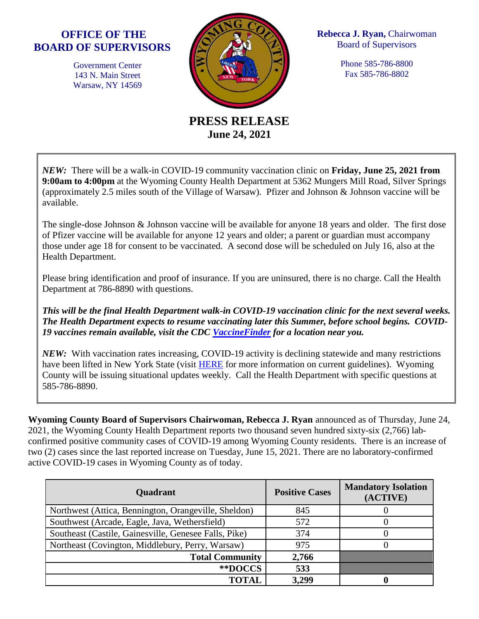## **OFFICE OF THE BOARD OF SUPERVISORS**

Government Center 143 N. Main Street Warsaw, NY 14569



**Rebecca J. Ryan,** Chairwoman Board of Supervisors

> Phone 585-786-8800 Fax 585-786-8802

**PRESS RELEASE June 24, 2021**

*NEW:* There will be a walk-in COVID-19 community vaccination clinic on **Friday, June 25, 2021 from 9:00am to 4:00pm** at the Wyoming County Health Department at 5362 Mungers Mill Road, Silver Springs (approximately 2.5 miles south of the Village of Warsaw). Pfizer and Johnson & Johnson vaccine will be available.

The single-dose Johnson & Johnson vaccine will be available for anyone 18 years and older. The first dose of Pfizer vaccine will be available for anyone 12 years and older; a parent or guardian must accompany those under age 18 for consent to be vaccinated. A second dose will be scheduled on July 16, also at the Health Department.

Please bring identification and proof of insurance. If you are uninsured, there is no charge. Call the Health Department at 786-8890 with questions.

*This will be the final Health Department walk-in COVID-19 vaccination clinic for the next several weeks. The Health Department expects to resume vaccinating later this Summer, before school begins. COVID-19 vaccines remain available, visit the CDC [VaccineFinder](https://www.vaccines.gov/search/) for a location near you.*

*NEW:* With vaccination rates increasing, COVID-19 activity is declining statewide and many restrictions have been lifted in New York State (visit [HERE](https://www.governor.ny.gov/news/governor-cuomo-announces-covid-19-restrictions-lifted-70-adult-new-yorkers-have-received-first) for more information on current guidelines). Wyoming County will be issuing situational updates weekly. Call the Health Department with specific questions at 585-786-8890.

**Wyoming County Board of Supervisors Chairwoman, Rebecca J. Ryan** announced as of Thursday, June 24, 2021, the Wyoming County Health Department reports two thousand seven hundred sixty-six (2,766) labconfirmed positive community cases of COVID-19 among Wyoming County residents. There is an increase of two (2) cases since the last reported increase on Tuesday, June 15, 2021. There are no laboratory-confirmed active COVID-19 cases in Wyoming County as of today.

| <b>Quadrant</b>                                       | <b>Positive Cases</b> | <b>Mandatory Isolation</b><br>(ACTIVE) |
|-------------------------------------------------------|-----------------------|----------------------------------------|
| Northwest (Attica, Bennington, Orangeville, Sheldon)  | 845                   |                                        |
| Southwest (Arcade, Eagle, Java, Wethersfield)         | 572                   |                                        |
| Southeast (Castile, Gainesville, Genesee Falls, Pike) | 374                   |                                        |
| Northeast (Covington, Middlebury, Perry, Warsaw)      | 975                   |                                        |
| <b>Total Community</b>                                | 2,766                 |                                        |
| **DOCCS*                                              | 533                   |                                        |
| <b>TOTAL</b>                                          | 3,299                 |                                        |